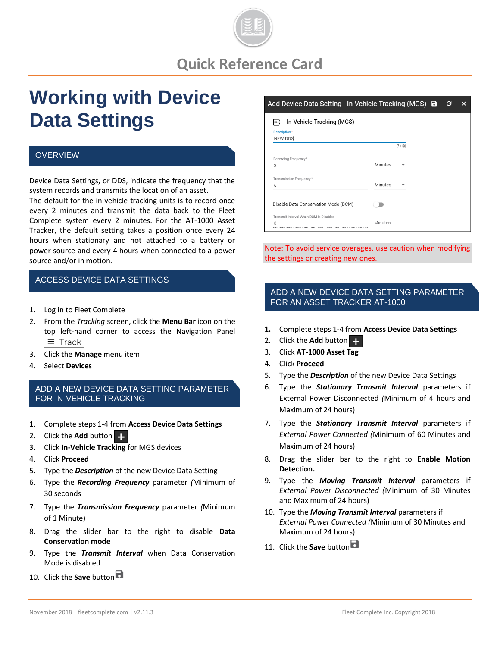

# **Working with Device Data Settings**

#### **OVERVIEW**

Device Data Settings, or DDS, indicate the frequency that the system records and transmits the location of an asset.

The default for the in-vehicle tracking units is to record once every 2 minutes and transmit the data back to the Fleet Complete system every 2 minutes. For the AT-1000 Asset Tracker, the default setting takes a position once every 24 hours when stationary and not attached to a battery or power source and every 4 hours when connected to a power source and/or in motion.

### ACCESS DEVICE DATA SETTINGS

- 1. Log in to Fleet Complete
- 2. From the *Tracking* screen, click the **Menu Bar** icon on the top left-hand corner to access the Navigation Panel  $\equiv$  Track
- 3. Click the **Manage** menu item
- 4. Select **Devices**

#### ADD A NEW DEVICE DATA SETTING PARAMETER FOR IN-VEHICLE TRACKING

- 1. Complete steps 1-4 from **Access Device Data Settings**
- 2. Click the **Add** button
- 3. Click **In-Vehicle Tracking** for MGS devices
- 4. Click **Proceed**
- 5. Type the *Description* of the new Device Data Setting
- 6. Type the *Recording Frequency* parameter *(*Minimum of 30 seconds
- 7. Type the *Transmission Frequency* parameter *(*Minimum of 1 Minute)
- 8. Drag the slider bar to the right to disable **Data Conservation mode**
- 9. Type the *Transmit Interval* when Data Conservation Mode is disabled
- 10. Click the **Save** button

#### Add Device Data Setting - In-Vehicle Tracking (MGS) **a** C

| Description*<br>NEW DDS                          |                |      |
|--------------------------------------------------|----------------|------|
|                                                  |                | 7/50 |
| Recording Frequency*<br>$\overline{2}$           | Minutes        |      |
| Transmission Frequency*<br>6                     | Minutes        |      |
| Disable Data Conservation Mode (DCM)             |                |      |
| Transmit Interval When DCM Is Disabled<br>$\cap$ | <b>Minutes</b> |      |

Note: To avoid service overages, use caution when modifying the settings or creating new ones.

# ADD A NEW DEVICE DATA SETTING PARAMETER FOR AN ASSET TRACKER AT-1000

- **1.** Complete steps 1-4 from **Access Device Data Settings**
- 2. Click the **Add** button
- 3. Click **AT-1000 Asset Tag**
- 4. Click **Proceed**
- 5. Type the *Description* of the new Device Data Settings
- 6. Type the *Stationary Transmit Interval* parameters if External Power Disconnected *(*Minimum of 4 hours and Maximum of 24 hours)
- 7. Type the *Stationary Transmit Interval* parameters if *External Power Connected (*Minimum of 60 Minutes and Maximum of 24 hours)
- 8. Drag the slider bar to the right to **Enable Motion Detection.**
- 9. Type the *Moving Transmit Interval* parameters if *External Power Disconnected (*Minimum of 30 Minutes and Maximum of 24 hours)
- 10. Type the *Moving Transmit Interval* parameters if *External Power Connected (*Minimum of 30 Minutes and Maximum of 24 hours)
- 11. Click the **Save** button